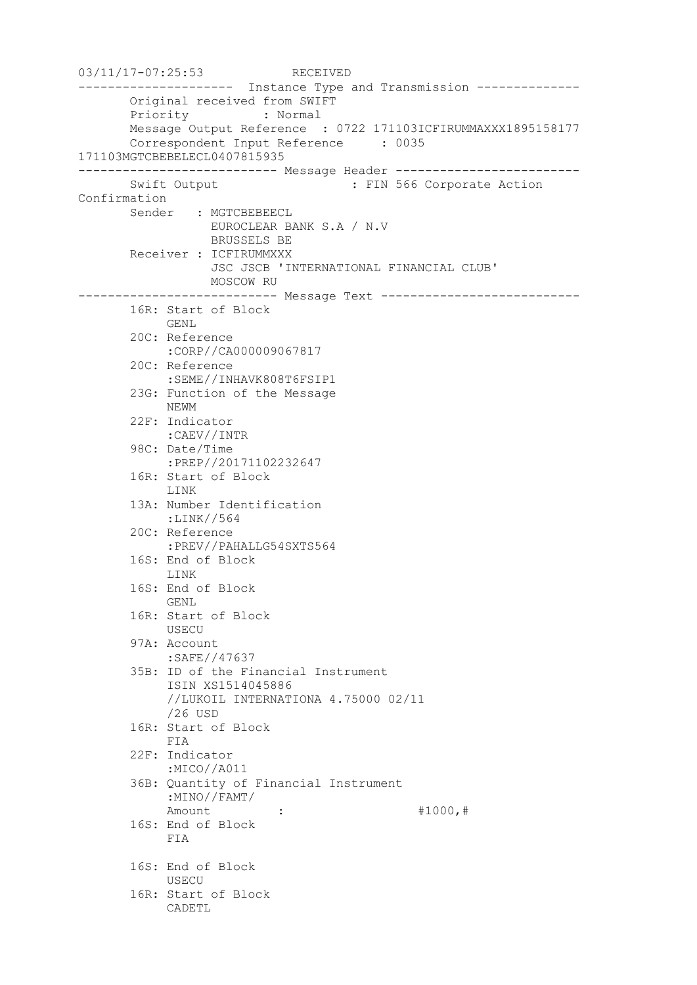```
03/11/17-07:25:53 RECEIVED
--------------------- Instance Type and Transmission --------------
       Original received from SWIFT
       Priority : Normal
       Message Output Reference : 0722 171103ICFIRUMMAXXX1895158177
       Correspondent Input Reference : 0035 
171103MGTCBEBELECL0407815935
--------------------------- Message Header -------------------------
      Swift Output : FIN 566 Corporate Action
Confirmation
       Sender : MGTCBEBEECL
                 EUROCLEAR BANK S.A / N.V
                  BRUSSELS BE
       Receiver : ICFIRUMMXXX
                   JSC JSCB 'INTERNATIONAL FINANCIAL CLUB'
                 MOSCOW RU
--------------------------- Message Text ---------------------------
       16R: Start of Block
            GENL
        20C: Reference
            :CORP//CA000009067817
        20C: Reference
            :SEME//INHAVK808T6FSIP1
        23G: Function of the Message
            NEWM
        22F: Indicator
            :CAEV//INTR
        98C: Date/Time
            :PREP//20171102232647
        16R: Start of Block
            LINK
        13A: Number Identification
            :LINK//564
        20C: Reference
            :PREV//PAHALLG54SXTS564
        16S: End of Block
            LINK
        16S: End of Block
            GENL
        16R: Start of Block
            USECU
        97A: Account
            :SAFE//47637
        35B: ID of the Financial Instrument
            ISIN XS1514045886
            //LUKOIL INTERNATIONA 4.75000 02/11
            /26 USD
        16R: Start of Block
            FIA
        22F: Indicator
             :MICO//A011
        36B: Quantity of Financial Instrument
            :MINO//FAMT/
           Amount : : #1000, #
        16S: End of Block
            FIA
        16S: End of Block
            USECU
        16R: Start of Block
            CADETL
```